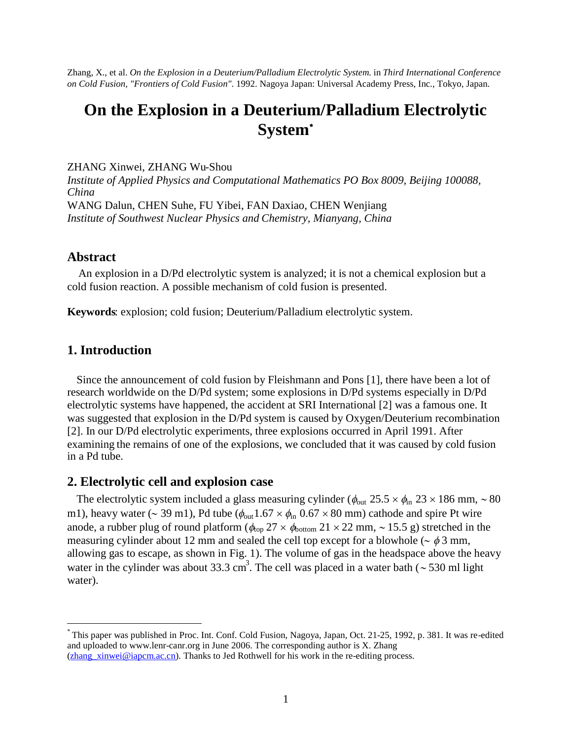Zhang, X., et al. *On the Explosion in a Deuterium/Palladium Electrolytic System*. in *Third International Conference on Cold Fusion, "Frontiers of Cold Fusion"*. 1992. Nagoya Japan: Universal Academy Press, Inc., Tokyo, Japan.

# **On the Explosion in a Deuterium/Palladium Electrolytic System**[\\*](#page-0-0)

ZHANG Xinwei, ZHANG Wu-Shou

*Institute of Applied Physics and Computational Mathematics PO Box 8009, Beijing 100088, China* WANG Dalun, CHEN Suhe, FU Yibei, FAN Daxiao, CHEN Wenjiang *Institute of Southwest Nuclear Physics and Chemistry, Mianyang, China*

### **Abstract**

An explosion in a D/Pd electrolytic system is analyzed; it is not a chemical explosion but a cold fusion reaction. A possible mechanism of cold fusion is presented.

**Keywords**: explosion; cold fusion; Deuterium/Palladium electrolytic system.

# **1. Introduction**

Since the announcement of cold fusion by Fleishmann and Pons [1], there have been a lot of research worldwide on the D/Pd system; some explosions in D/Pd systems especially in D/Pd electrolytic systems have happened, the accident at SRI International [2] was a famous one. It was suggested that explosion in the D/Pd system is caused by Oxygen/Deuterium recombination [2]. In our D/Pd electrolytic experiments, three explosions occurred in April 1991. After examining the remains of one of the explosions, we concluded that it was caused by cold fusion in a Pd tube.

#### **2. Electrolytic cell and explosion case**

The electrolytic system included a glass measuring cylinder ( $\phi_{\text{out}}$  25.5  $\times$   $\phi_{\text{in}}$  23  $\times$  186 mm,  $\sim$  80 m1), heavy water ( $\sim$  39 m1), Pd tube ( $\phi_{\text{out}}$ 1.67  $\times$   $\phi_{\text{in}}$  0.67  $\times$  80 mm) cathode and spire Pt wire anode, a rubber plug of round platform ( $\phi_{\text{top}}$  27  $\times$   $\phi_{\text{bottom}}$  21  $\times$  22 mm,  $\sim$  15.5 g) stretched in the measuring cylinder about 12 mm and sealed the cell top except for a blowhole ( $\sim \phi$  3 mm, allowing gas to escape, as shown in Fig. 1). The volume of gas in the headspace above the heavy water in the cylinder was about 33.3 cm<sup>3</sup>. The cell was placed in a water bath ( $\sim$  530 ml light water).

<span id="page-0-0"></span><sup>\*</sup> This paper was published in Proc. Int. Conf. Cold Fusion, Nagoya, Japan, Oct. 21-25, 1992, p. 381. It was re-edited and uploaded to www.lenr-canr.org in June 2006. The corresponding author is X. Zhang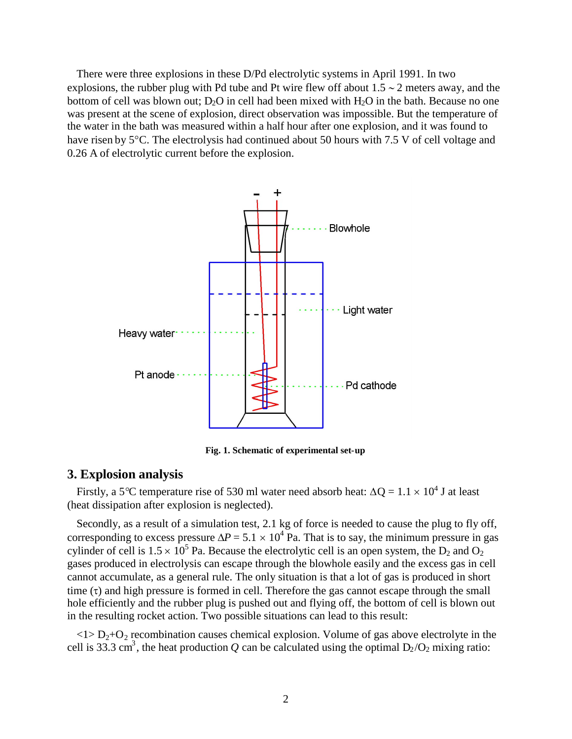There were three explosions in these D/Pd electrolytic systems in April 1991. In two explosions, the rubber plug with Pd tube and Pt wire flew off about  $1.5 \sim 2$  meters away, and the bottom of cell was blown out;  $D_2O$  in cell had been mixed with  $H_2O$  in the bath. Because no one was present at the scene of explosion, direct observation was impossible. But the temperature of the water in the bath was measured within a half hour after one explosion, and it was found to have risen by 5<sup>o</sup>C. The electrolysis had continued about 50 hours with 7.5 V of cell voltage and 0.26 A of electrolytic current before the explosion.



**Fig. 1. Schematic of experimental set-up**

## **3. Explosion analysis**

Firstly, a 5<sup>o</sup>C temperature rise of 530 ml water need absorb heat:  $\Delta Q = 1.1 \times 10^4$  J at least (heat dissipation after explosion is neglected).

Secondly, as a result of a simulation test, 2.1 kg of force is needed to cause the plug to fly off, corresponding to excess pressure  $\Delta P = 5.1 \times 10^4$  Pa. That is to say, the minimum pressure in gas cylinder of cell is  $1.5 \times 10^5$  Pa. Because the electrolytic cell is an open system, the D<sub>2</sub> and O<sub>2</sub> gases produced in electrolysis can escape through the blowhole easily and the excess gas in cell cannot accumulate, as a general rule. The only situation is that a lot of gas is produced in short time  $(\tau)$  and high pressure is formed in cell. Therefore the gas cannot escape through the small hole efficiently and the rubber plug is pushed out and flying off, the bottom of cell is blown out in the resulting rocket action. Two possible situations can lead to this result:

 $\langle 1 \rangle D_2 + O_2$  recombination causes chemical explosion. Volume of gas above electrolyte in the cell is 33.3 cm<sup>3</sup>, the heat production *Q* can be calculated using the optimal  $D_2/O_2$  mixing ratio: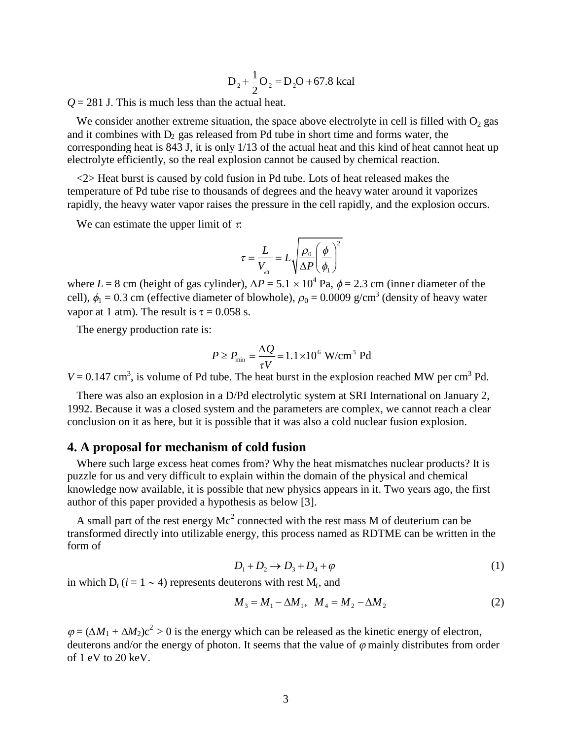$$
D_2 + \frac{1}{2}O_2 = D_2O + 67.8 \text{ kcal}
$$

 $Q = 281$  J. This is much less than the actual heat.

We consider another extreme situation, the space above electrolyte in cell is filled with  $O<sub>2</sub>$  gas and it combines with  $D_2$  gas released from Pd tube in short time and forms water, the corresponding heat is 843 J, it is only 1/13 of the actual heat and this kind of heat cannot heat up electrolyte efficiently, so the real explosion cannot be caused by chemical reaction.

<2> Heat burst is caused by cold fusion in Pd tube. Lots of heat released makes the temperature of Pd tube rise to thousands of degrees and the heavy water around it vaporizes rapidly, the heavy water vapor raises the pressure in the cell rapidly, and the explosion occurs.

We can estimate the upper limit of  $\tau$ .

$$
\tau = \frac{L}{V_{\text{eff}}} = L \sqrt{\frac{\rho_0}{\Delta P} \left(\frac{\phi}{\phi_1}\right)^2}
$$

where  $L = 8$  cm (height of gas cylinder),  $\Delta P = 5.1 \times 10^4$  Pa,  $\phi = 2.3$  cm (inner diameter of the cell),  $\phi_1 = 0.3$  cm (effective diameter of blowhole),  $\rho_0 = 0.0009$  g/cm<sup>3</sup> (density of heavy water vapor at 1 atm). The result is  $\tau = 0.058$  s.

The energy production rate is:

$$
P \ge P_{\min} = \frac{\Delta Q}{\tau V} = 1.1 \times 10^6 \text{ W/cm}^3 \text{ Pd}
$$

 $V = 0.147$  cm<sup>3</sup>, is volume of Pd tube. The heat burst in the explosion reached MW per cm<sup>3</sup> Pd.

There was also an explosion in a D/Pd electrolytic system at SRI International on January 2, 1992. Because it was a closed system and the parameters are complex, we cannot reach a clear conclusion on it as here, but it is possible that it was also a cold nuclear fusion explosion.

#### **4. A proposal for mechanism of cold fusion**

Where such large excess heat comes from? Why the heat mismatches nuclear products? It is puzzle for us and very difficult to explain within the domain of the physical and chemical knowledge now available, it is possible that new physics appears in it. Two years ago, the first author of this paper provided a hypothesis as below [3].

A small part of the rest energy  $Mc^2$  connected with the rest mass M of deuterium can be transformed directly into utilizable energy, this process named as RDTME can be written in the form of

$$
D_1 + D_2 \rightarrow D_3 + D_4 + \varphi \tag{1}
$$

in which  $D_i$  ( $i = 1 \sim 4$ ) represents deuterons with rest  $M_i$ , and

$$
M_3 = M_1 - \Delta M_1, \ \ M_4 = M_2 - \Delta M_2 \tag{2}
$$

 $\varphi = (\Delta M_1 + \Delta M_2)c^2 > 0$  is the energy which can be released as the kinetic energy of electron, deuterons and/or the energy of photon. It seems that the value of  $\varphi$  mainly distributes from order of 1 eV to 20 keV.